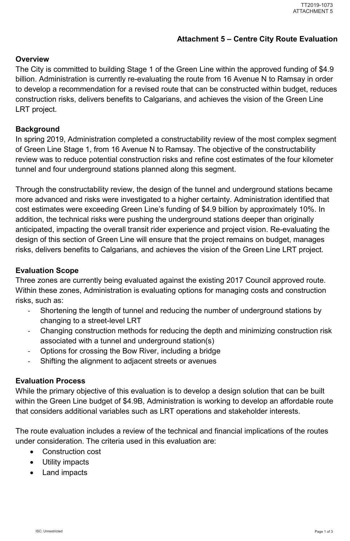# **Attachment 5 – Centre City Route Evaluation**

# **Overview**

The City is committed to building Stage 1 of the Green Line within the approved funding of \$4.9 billion. Administration is currently re-evaluating the route from 16 Avenue N to Ramsay in order to develop a recommendation for a revised route that can be constructed within budget, reduces construction risks, delivers benefits to Calgarians, and achieves the vision of the Green Line LRT project.

### **Background**

In spring 2019, Administration completed a constructability review of the most complex segment of Green Line Stage 1, from 16 Avenue N to Ramsay. The objective of the constructability review was to reduce potential construction risks and refine cost estimates of the four kilometer tunnel and four underground stations planned along this segment.

Through the constructability review, the design of the tunnel and underground stations became more advanced and risks were investigated to a higher certainty. Administration identified that cost estimates were exceeding Green Line's funding of \$4.9 billion by approximately 10%. In addition, the technical risks were pushing the underground stations deeper than originally anticipated, impacting the overall transit rider experience and project vision. Re-evaluating the design of this section of Green Line will ensure that the project remains on budget, manages risks, delivers benefits to Calgarians, and achieves the vision of the Green Line LRT project.

- $\bullet$ Construction cost
- $\bullet$ Utility impacts
- •Land impacts

# **Evaluation Scope**

Three zones are currently being evaluated against the existing 2017 Council approved route. Within these zones, Administration is evaluating options for managing costs and construction risks, such as:

- - Shortening the length of tunnel and reducing the number of underground stations by changing to a street-level LRT
- - Changing construction methods for reducing the depth and minimizing construction risk associated with a tunnel and underground station(s)
- -Options for crossing the Bow River, including a bridge
- -Shifting the alignment to adjacent streets or avenues

# **Evaluation Process**

While the primary objective of this evaluation is to develop a design solution that can be built

within the Green Line budget of \$4.9B, Administration is working to develop an affordable route that considers additional variables such as LRT operations and stakeholder interests.

The route evaluation includes a review of the technical and financial implications of the routes under consideration. The criteria used in this evaluation are: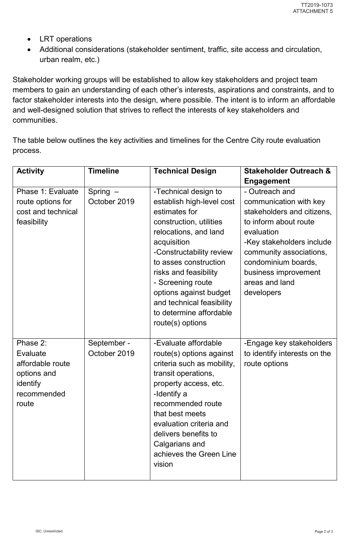- LRT operations
- Additional considerations (stakeholder sentiment, traffic, site access and circulation, urban realm, etc.)

Stakeholder working groups will be established to allow key stakeholders and project team members to gain an understanding of each other's interests, aspirations and constraints, and to factor stakeholder interests into the design, where possible. The intent is to inform an affordable and well-designed solution that strives to reflect the interests of key stakeholders and communities.

The table below outlines the key activities and timelines for the Centre City route evaluation process.

| <b>Activity</b>                                                                             | <b>Timeline</b>             | <b>Technical Design</b>                                                                                                                                                                                                                                                                                                                           | <b>Stakeholder Outreach &amp;</b>                                                                                                                                                                                                                    |
|---------------------------------------------------------------------------------------------|-----------------------------|---------------------------------------------------------------------------------------------------------------------------------------------------------------------------------------------------------------------------------------------------------------------------------------------------------------------------------------------------|------------------------------------------------------------------------------------------------------------------------------------------------------------------------------------------------------------------------------------------------------|
|                                                                                             |                             |                                                                                                                                                                                                                                                                                                                                                   | <b>Engagement</b>                                                                                                                                                                                                                                    |
| Phase 1: Evaluate<br>route options for<br>cost and technical<br>feasibility                 | $Spring -$<br>October 2019  | -Technical design to<br>establish high-level cost<br>estimates for<br>construction, utilities<br>relocations, and land<br>acquisition<br>-Constructability review<br>to asses construction<br>risks and feasibility<br>- Screening route<br>options against budget<br>and technical feasibility<br>to determine affordable<br>route $(s)$ options | - Outreach and<br>communication with key<br>stakeholders and citizens,<br>to inform about route<br>evaluation<br>-Key stakeholders include<br>community associations,<br>condominium boards,<br>business improvement<br>areas and land<br>developers |
| Phase 2:<br>Evaluate<br>affordable route<br>options and<br>identify<br>recommended<br>route | September -<br>October 2019 | -Evaluate affordable<br>route(s) options against<br>criteria such as mobility,<br>transit operations,<br>property access, etc.<br>-Identify a<br>recommended route<br>that best meets<br>evaluation criteria and<br>delivers benefits to<br>Calgarians and<br>achieves the Green Line<br>vision                                                   | -Engage key stakeholders<br>to identify interests on the<br>route options                                                                                                                                                                            |